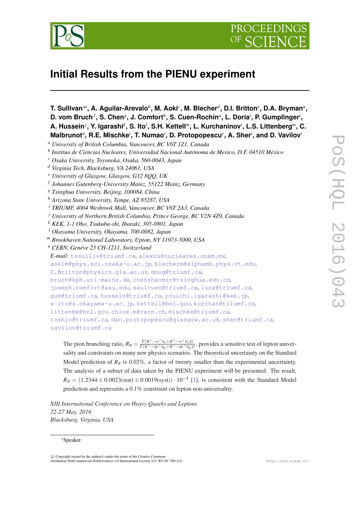



# **Initial Results from the PIENU experiment**

**T. Sullivan**∗*<sup>a</sup>* **, A. Aguilar-Arevalo***<sup>b</sup>* **, M. Aoki***<sup>c</sup>* **, M. Blecher***<sup>d</sup>* **, D.I. Britton***<sup>e</sup>* **, D.A. Bryman***<sup>a</sup>* **, D. vom Bruch***<sup>f</sup>* **, S. Chen***<sup>g</sup>* **, J. Comfort***<sup>h</sup>* **, S. Cuen-Rochin***<sup>a</sup>* **, L. Doria***<sup>i</sup>* **, P. Gumplinger***<sup>i</sup>* **,**  $A$ . Hussein ${}^{j}$ , Y. Igarashi ${}^{k}$ , S. Ito ${}^{l}$ , S.H. Kettell ${}^{m}$ , L. Kurchaninov ${}^{i}$ , L.S. Littenberg ${}^{m}$ , C. **Malbrunot***<sup>n</sup>* **, R.E. Mischke***<sup>i</sup>* **, T. Numao***<sup>i</sup>* **, D. Protopopescu***<sup>e</sup>* **, A. Sher***<sup>i</sup>* **, and D. Vavilov***<sup>i</sup> <sup>a</sup> University of British Columbia, Vancouver, BC V6T 1Z1, Canada*

- *<sup>g</sup> Tsinghua University, Beijing, 100084, China*
- *<sup>h</sup> Arizona State University, Tempe, AZ 85287, USA*
- *<sup>i</sup> TRIUMF, 4004 Wesbrook Mall, Vancouver, BC V6T 2A3, Canada*
- *<sup>j</sup> University of Northern British Columbia, Prince George, BC V2N 4Z9, Canada*
- *<sup>k</sup> KEK, 1-1 Oho, Tsukuba-shi, Ibaraki, 305-0801, Japan*
- *<sup>l</sup> Okayama University, Okayama, 700-0082, Japan*
- *<sup>m</sup> Brookhaven National Laboratory, Upton, NY 11973-5000, USA*
- *<sup>n</sup> CERN, Genéve 23 CH-1211, Switzerland*
- *E-mail:* [tssulliv@triumf.ca](mailto:tssulliv@triumf.ca)*,* [alexis@nucleares.unam.mx](mailto:alexis@nucleares.unam.mx)*,*
- [aokim@phys.sci.osaka-u.ac.jp](mailto:aokim@phys.sci.osaka-u.ac.jp)*,* [blecherm@alphamb.phys.vt.edu](mailto:blecherm@alphamb.phys.vt.edu)*,*
- [D.Britton@physics.gla.ac.uk](mailto:D.Britton@physics.gla.ac.uk)*,* [doug@triumf.ca](mailto:doug@triumf.ca)*,*
- [bruch@kph.uni-mainz.de](mailto:bruch@kph.uni-mainz.de)*,* [chenshaomin@tsinghua.edu.cn](mailto:chenshaomin@tsinghua.edu.cn)*,*
- [joseph.comfort@asu.edu](mailto:joseph.comfort@asu.edu)*,* [saulcuen@triumf.ca](mailto:saulcuen@triumf.ca)*,* [luca@triumf.ca](mailto:luca@triumf.ca)*,*
- [gum@triumf.ca](mailto:gum@triumf.ca)*,* [hussein@triumf.ca](mailto:hussein@triumf.ca)*,* [youichi.igarashi@kek.jp](mailto:youichi.igarashi@kek.jp)*,*
- [s-ito@s.okayama-u.ac.jp](mailto:s-ito@s.okayama-u.ac.jp)*,* [kettell@bnl.gov](mailto:kettell@bnl.gov)*,* [kurchan@triumf.ca](mailto:kurchan@triumf.ca)*,*
- [littenbe@bnl.gov](mailto:littenbe@bnl.gov)*,* [chloe.m@cern.ch](mailto:chloe.m@cern.ch)*,* [mischke@triumf.ca](mailto:mischke@triumf.ca)*,*

[toshio@triumf.ca](mailto:toshio@triumf.ca)*,* [dan.protopopescu@glasgow.ac.uk](mailto:dan.protopopescu@glasgow.ac.uk)*,* [sher@triumf.ca](mailto:sher@triumf.ca)*,* [vavilov@triumf.ca](mailto:vavilov@triumf.ca)

The pion branching ratio,  $R_{\pi} = \frac{\Gamma(\pi^{+} \to e^{+} \nu_{e} + \pi^{+} \to e^{+} \nu_{e} \gamma)}{\Gamma(\pi^{+} \to \mu^{+} \nu_{\mu} + \pi^{+} \to \mu^{+} \nu_{\mu} \gamma}$  $\frac{\Gamma(\pi \to e^+ \nu_e + \pi \to e^+ \nu_e \gamma)}{\Gamma(\pi^+ \to \mu^+ \nu_\mu + \pi^+ \to \mu^+ \nu_\mu \gamma)}$ , provides a sensitive test of lepton universality and constraints on many new physics scenarios. The theoretical uncertainty on the Standard Model prediction of  $R_{\pi}$  is 0.02%, a factor of twenty smaller than the experimental uncertainty. The analysis of a subset of data taken by the PIENU experiment will be presented. The result,  $R_{\pi} = (1.2344 \pm 0.0023 \text{(stat)} \pm 0.0019 \text{(syst)}) \cdot 10^{-4}$  [\[1](#page-7-0)], is consistent with the Standard Model prediction and represents a 0.1% constraint on lepton non-universality.

*XIII International Conference on Heavy Quarks and Leptons 22-27 May, 2016 Blacksburg, Virginia, USA*

#### <sup>∗</sup>Speaker.

*b Instituo de Ciencias Nucleares, Universidad Nacional Autónoma de Mexico, D.F. 04510 México*

*<sup>c</sup> Osaka University, Toyonoka, Osaka, 560-0043, Japan*

*<sup>d</sup> Virginia Tech, Blacksburg, VA 24061, USA*

*<sup>e</sup> University of Glasgow, Glasgow, G12 8QQ, UK*

*f Johannes Gutenberg-University Mainz, 55122 Mainz, Germany*

 $\overline{c}$  Copyright owned by the author(s) under the terms of the Creative Common Attribution-NonCommercial-NoDerivatives 4.0 International License (CC BY-NC-ND 4.0). http://pos.sissa.it/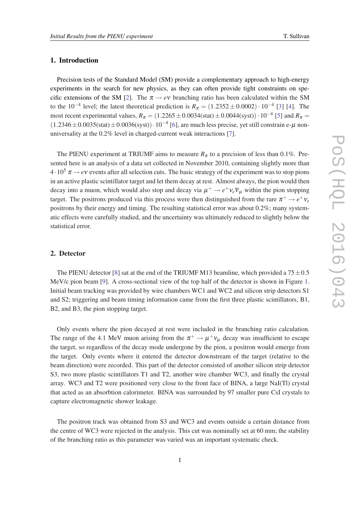## 1. Introduction

Precision tests of the Standard Model (SM) provide a complementary approach to high-energy experiments in the search for new physics, as they can often provide tight constraints on spe-cific extensions of the SM [\[2\]](#page-7-0). The  $\pi \rightarrow e\nu$  branching ratio has been calculated within the SM to the 10<sup>-4</sup> level; the latest theoretical prediction is  $R_{\pi} = (1.2352 \pm 0.0002) \cdot 10^{-4}$  $R_{\pi} = (1.2352 \pm 0.0002) \cdot 10^{-4}$  $R_{\pi} = (1.2352 \pm 0.0002) \cdot 10^{-4}$  [3] [\[4\]](#page-7-0). The most recent experimental values,  $R_{\pi} = (1.2265 \pm 0.0034 \text{(stat)} \pm 0.0044 \text{(syst)}) \cdot 10^{-4}$  [\[5\]](#page-7-0) and  $R_{\pi} =$  $(1.2346 \pm 0.0035 \text{(stat)} \pm 0.0036 \text{(syst)}) \cdot 10^{-4}$  $(1.2346 \pm 0.0035 \text{(stat)} \pm 0.0036 \text{(syst)}) \cdot 10^{-4}$  $(1.2346 \pm 0.0035 \text{(stat)} \pm 0.0036 \text{(syst)}) \cdot 10^{-4}$  [6], are much less precise, yet still constrain e- $\mu$  nonuniversality at the 0.2% level in charged-current weak interactions [[7](#page-7-0)].

The PIENU experiment at TRIUMF aims to measure  $R<sub>\pi</sub>$  to a precision of less than 0.1%. Presented here is an analysis of a data set collected in November 2010, containing slightly more than  $4\cdot10^5 \pi \rightarrow e\nu$  events after all selection cuts. The basic strategy of the experiment was to stop pions in an active plastic scintillator target and let them decay at rest. Almost always, the pion would then decay into a muon, which would also stop and decay via  $\mu^+ \to e^+ \nu_e \overline{\nu}_\mu$  within the pion stopping target. The positrons produced via this process were then distinguished from the rare  $\pi^+ \to e^+ \nu_e$ positrons by their energy and timing. The resulting statistical error was about 0.2%; many systematic effects were carefully studied, and the uncertainty was ultimately reduced to slightly below the statistical error.

#### 2. Detector

The PIENU detector [\[8\]](#page-7-0) sat at the end of the TRIUMF M13 beamline, which provided a  $75 \pm 0.5$ MeV/c pion beam [\[9\]](#page-7-0). A cross-sectional view of the top half of the detector is shown in Figure [1](#page-2-0). Initial beam tracking was provided by wire chambers WC1 and WC2 and silicon strip detectors S1 and S2; triggering and beam timing information came from the first three plastic scintillators, B1, B2, and B3, the pion stopping target.

Only events where the pion decayed at rest were included in the branching ratio calculation. The range of the 4.1 MeV muon arising from the  $\pi^+ \to \mu^+ \nu_\mu$  decay was insufficient to escape the target, so regardless of the decay mode undergone by the pion, a positron would emerge from the target. Only events where it entered the detector downstream of the target (relative to the beam direction) were recorded. This part of the detector consisted of another silicon strip detector S3, two more plastic scintillators T1 and T2, another wire chamber WC3, and finally the crystal array. WC3 and T2 were positioned very close to the front face of BINA, a large NaI(Tl) crystal that acted as an absorbtion calorimeter. BINA was surrounded by 97 smaller pure CsI crystals to capture electromagnetic shower leakage.

The positron track was obtained from S3 and WC3 and events outside a certain distance from the centre of WC3 were rejected in the analysis. This cut was nominally set at 60 mm; the stability of the branching ratio as this parameter was varied was an important systematic check.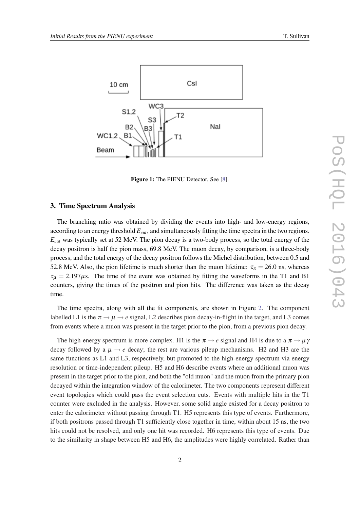

<span id="page-2-0"></span>

Figure 1: The PIENU Detector. See [[8\]](#page-7-0).

### 3. Time Spectrum Analysis

The branching ratio was obtained by dividing the events into high- and low-energy regions, according to an energy threshold *Ecut*, and simultaneously fitting the time spectra in the two regions. *Ecut* was typically set at 52 MeV. The pion decay is a two-body process, so the total energy of the decay positron is half the pion mass, 69.8 MeV. The muon decay, by comparison, is a three-body process, and the total energy of the decay positron follows the Michel distribution, between 0.5 and 52.8 MeV. Also, the pion lifetime is much shorter than the muon lifetime:  $\tau_{\pi} = 26.0$  ns, whereas  $\tau_{\mu} = 2.197 \mu s$ . The time of the event was obtained by fitting the waveforms in the T1 and B1 counters, giving the times of the positron and pion hits. The difference was taken as the decay time.

The time spectra, along with all the fit components, are shown in Figure [2.](#page-3-0) The component labelled L1 is the  $\pi \rightarrow \mu \rightarrow e$  signal, L2 describes pion decay-in-flight in the target, and L3 comes from events where a muon was present in the target prior to the pion, from a previous pion decay.

The high-energy spectrum is more complex. H1 is the  $\pi \rightarrow e$  signal and H4 is due to a  $\pi \rightarrow \mu \gamma$ decay followed by a  $\mu \rightarrow e$  decay; the rest are various pileup mechanisms. H2 and H3 are the same functions as L1 and L3, respectively, but promoted to the high-energy spectrum via energy resolution or time-independent pileup. H5 and H6 describe events where an additional muon was present in the target prior to the pion, and both the "old muon" and the muon from the primary pion decayed within the integration window of the calorimeter. The two components represent different event topologies which could pass the event selection cuts. Events with multiple hits in the T1 counter were excluded in the analysis. However, some solid angle existed for a decay positron to enter the calorimeter without passing through T1. H5 represents this type of events. Furthermore, if both positrons passed through T1 sufficiently close together in time, within about 15 ns, the two hits could not be resolved, and only one hit was recorded. H6 represents this type of events. Due to the similarity in shape between H5 and H6, the amplitudes were highly correlated. Rather than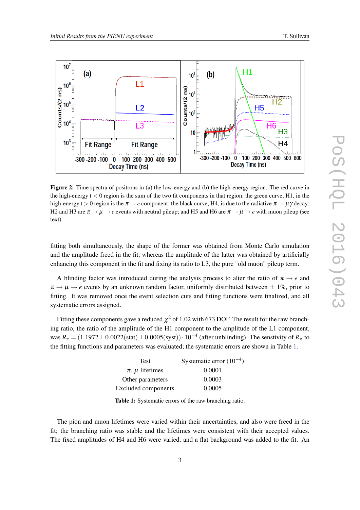<span id="page-3-0"></span>

Figure 2: Time spectra of positrons in (a) the low-energy and (b) the high-energy region. The red curve in the high-energy  $t < 0$  region is the sum of the two fit components in that region; the green curve, H1, in the high-energy t  $> 0$  region is the  $\pi \rightarrow e$  component; the black curve, H4, is due to the radiative  $\pi \rightarrow \mu \gamma$  decay; H2 and H3 are  $\pi \to \mu \to e$  events with neutral pileup; and H5 and H6 are  $\pi \to \mu \to e$  with muon pileup (see text).

fitting both simultaneously, the shape of the former was obtained from Monte Carlo simulation and the amplitude freed in the fit, whereas the amplitude of the latter was obtained by artificially enhancing this component in the fit and fixing its ratio to L3, the pure "old muon" pileup term.

A blinding factor was introduced during the analysis process to alter the ratio of  $\pi \rightarrow e$  and  $\pi \rightarrow \mu \rightarrow e$  events by an unknown random factor, uniformly distributed between  $\pm 1\%$ , prior to fitting. It was removed once the event selection cuts and fitting functions were finalized, and all systematic errors assigned.

Fitting these components gave a reduced  $\chi^2$  of 1.02 with 673 DOF. The result for the raw branching ratio, the ratio of the amplitude of the H1 component to the amplitude of the L1 component, was  $R_{\pi} = (1.1972 \pm 0.0022 \text{(stat)} \pm 0.0005 \text{(syst)}) \cdot 10^{-4}$  (after unblinding). The senstivity of  $R_{\pi}$  to the fitting functions and parameters was evaluated; the systematic errors are shown in Table 1.

| <b>Test</b>                | Systematic error $(10^{-4})$ |  |
|----------------------------|------------------------------|--|
| $\pi$ , $\mu$ lifetimes    | 0.0001                       |  |
| Other parameters           | 0.0003                       |  |
| <b>Excluded components</b> | 0.0005                       |  |

Table 1: Systematic errors of the raw branching ratio.

The pion and muon lifetimes were varied within their uncertainties, and also were freed in the fit; the branching ratio was stable and the lifetimes were consistent with their accepted values. The fixed amplitudes of H4 and H6 were varied, and a flat background was added to the fit. An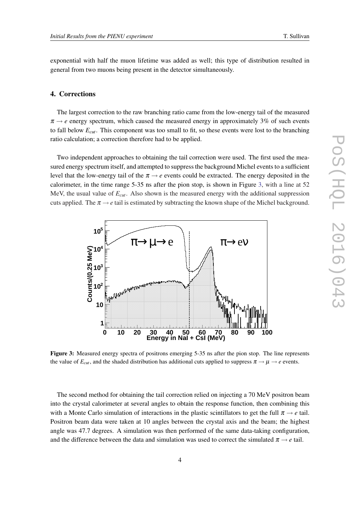exponential with half the muon lifetime was added as well; this type of distribution resulted in general from two muons being present in the detector simultaneously.

## 4. Corrections

The largest correction to the raw branching ratio came from the low-energy tail of the measured  $\pi \rightarrow e$  energy spectrum, which caused the measured energy in approximately 3% of such events to fall below *Ecut*. This component was too small to fit, so these events were lost to the branching ratio calculation; a correction therefore had to be applied.

Two independent approaches to obtaining the tail correction were used. The first used the measured energy spectrum itself, and attempted to suppress the background Michel events to a sufficient level that the low-energy tail of the  $\pi \rightarrow e$  events could be extracted. The energy deposited in the calorimeter, in the time range 5-35 ns after the pion stop, is shown in Figure 3, with a line at 52 MeV, the usual value of *Ecut*. Also shown is the measured energy with the additional suppression cuts applied. The  $\pi \rightarrow e$  tail is estimated by subtracting the known shape of the Michel background.



Figure 3: Measured energy spectra of positrons emerging 5-35 ns after the pion stop. The line represents the value of  $E_{cut}$ , and the shaded distribution has additional cuts applied to suppress  $\pi \rightarrow \mu \rightarrow e$  events.

The second method for obtaining the tail correction relied on injecting a 70 MeV positron beam into the crystal calorimeter at several angles to obtain the response function, then combining this with a Monte Carlo simulation of interactions in the plastic scintillators to get the full  $\pi \rightarrow e$  tail. Positron beam data were taken at 10 angles between the crystal axis and the beam; the highest angle was 47.7 degrees. A simulation was then performed of the same data-taking configuration, and the difference between the data and simulation was used to correct the simulated  $\pi \rightarrow e$  tail.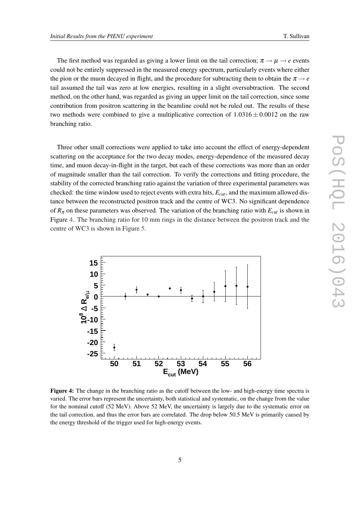The first method was regarded as giving a lower limit on the tail correction;  $\pi \rightarrow \mu \rightarrow e$  events could not be entirely suppressed in the measured energy spectrum, particularly events where either the pion or the muon decayed in flight, and the procedure for subtracting them to obtain the  $\pi \rightarrow e$ tail assumed the tail was zero at low energies, resulting in a slight oversubtraction. The second method, on the other hand, was regarded as giving an upper limit on the tail correction, since some contribution from positron scattering in the beamline could not be ruled out. The results of these two methods were combined to give a multiplicative correction of  $1.0316 \pm 0.0012$  on the raw branching ratio.

Three other small corrections were applied to take into account the effect of energy-dependent scattering on the acceptance for the two decay modes, energy-dependence of the measured decay time, and muon decay-in-flight in the target, but each of these corrections was more than an order of magnitude smaller than the tail correction. To verify the corrections and fitting procedure, the stability of the corrected branching ratio against the variation of three experimental parameters was checked: the time window used to reject events with extra hits, *Ecut*, and the maximum allowed distance between the reconstructed positron track and the centre of WC3. No significant dependence of  $R_{\pi}$  on these parameters was observed. The variation of the branching ratio with  $E_{cut}$  is shown in Figure 4. The branching ratio for 10 mm rings in the distance between the positron track and the centre of WC3 is shown in Figure [5](#page-6-0).



Figure 4: The change in the branching ratio as the cutoff between the low- and high-energy time spectra is varied. The error bars represent the uncertainty, both statistical and systematic, on the change from the value for the nominal cutoff (52 MeV). Above 52 MeV, the uncertainty is largely due to the systematic error on the tail correction, and thus the error bars are correlated. The drop below 50.5 MeV is primarily caused by the energy threshold of the trigger used for high-energy events.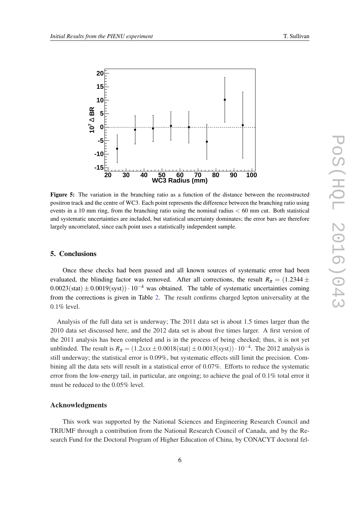<span id="page-6-0"></span>

Figure 5: The variation in the branching ratio as a function of the distance between the reconstructed positron track and the centre of WC3. Each point represents the difference between the branching ratio using events in a 10 mm ring, from the branching ratio using the nominal radius  $< 60$  mm cut. Both statistical and systematic uncertainties are included, but statistical uncertainty dominates; the error bars are therefore largely uncorrelated, since each point uses a statistically independent sample.

#### 5. Conclusions

Once these checks had been passed and all known sources of systematic error had been evaluated, the blinding factor was removed. After all corrections, the result *R*<sup>π</sup> = (1.2344 ±  $0.0023(stat) \pm 0.0019(syst)$ )· 10<sup>-4</sup> was obtained. The table of systematic uncertainties coming from the corrections is given in Table [2](#page-7-0). The result confirms charged lepton universality at the 0.1% level.

Analysis of the full data set is underway; The 2011 data set is about 1.5 times larger than the 2010 data set discussed here, and the 2012 data set is about five times larger. A first version of the 2011 analysis has been completed and is in the process of being checked; thus, it is not yet unblinded. The result is  $R_{\pi} = (1.2xxx \pm 0.0018(stat) \pm 0.0013(syst)) \cdot 10^{-4}$ . The 2012 analysis is still underway; the statistical error is 0.09%, but systematic effects still limit the precision. Combining all the data sets will result in a statistical error of 0.07%. Efforts to reduce the systematic error from the low-energy tail, in particular, are ongoing; to achieve the goal of 0.1% total error it must be reduced to the 0.05% level.

#### Acknowledgments

This work was supported by the National Sciences and Engineering Research Council and TRIUMF through a contribution from the National Research Council of Canada, and by the Research Fund for the Doctoral Program of Higher Education of China, by CONACYT doctoral fel-